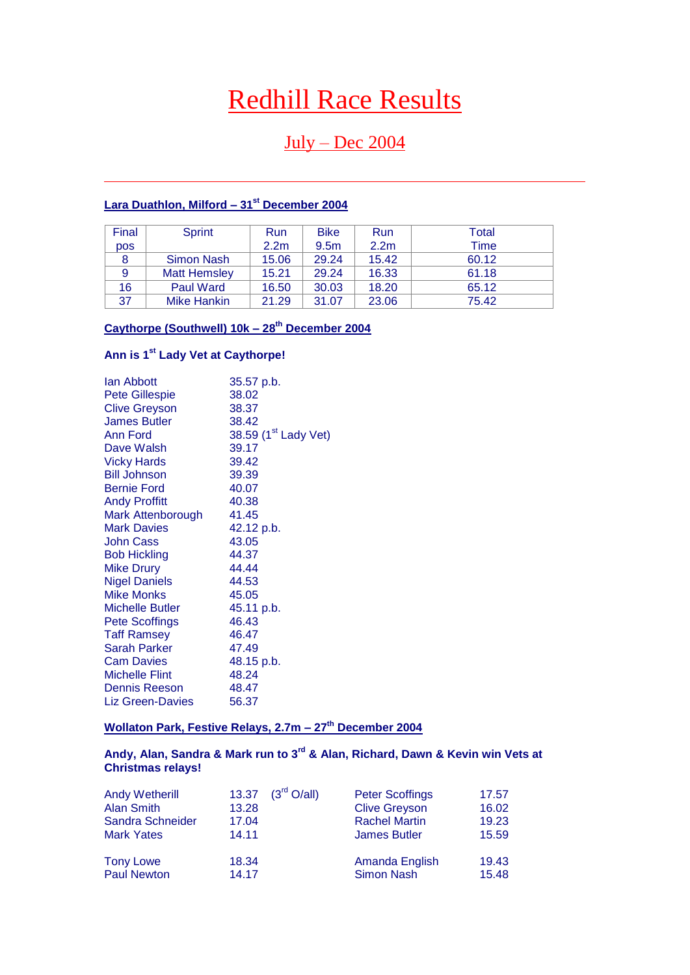# Redhill Race Results

# $July - Dec 2004$

# **Lara Duathlon, Milford – 31st December 2004**

| Final      | Sprint              | Run              | <b>Bike</b>      | Run              | Total       |
|------------|---------------------|------------------|------------------|------------------|-------------|
| <b>pos</b> |                     | 2.2 <sub>m</sub> | 9.5 <sub>m</sub> | 2.2 <sub>m</sub> | <b>Time</b> |
|            | Simon Nash          | 15.06            | 29.24            | 15.42            | 60.12       |
| 9          | <b>Matt Hemsley</b> | 15.21            | 29.24            | 16.33            | 61.18       |
| 16         | <b>Paul Ward</b>    | 16.50            | 30.03            | 18.20            | 65.12       |
| 37         | Mike Hankin         | 21.29            | 31.07            | 23.06            | 75.42       |

# **Caythorpe (Southwell) 10k – 28th December 2004**

# **Ann is 1st Lady Vet at Caythorpe!**

| lan Abbott             | 35.57 p.b.                       |
|------------------------|----------------------------------|
| <b>Pete Gillespie</b>  | 38.02                            |
| <b>Clive Greyson</b>   | 38.37                            |
| <b>James Butler</b>    | 38.42                            |
| <b>Ann Ford</b>        | 38.59 (1 <sup>st</sup> Lady Vet) |
| Dave Walsh             | 39.17                            |
| <b>Vicky Hards</b>     | 39.42                            |
| <b>Bill Johnson</b>    | 39.39                            |
| <b>Bernie Ford</b>     | 40.07                            |
| <b>Andy Proffitt</b>   | 40.38                            |
| Mark Attenborough      | 41.45                            |
| <b>Mark Davies</b>     | 42.12 p.b.                       |
| <b>John Cass</b>       | 43.05                            |
| <b>Bob Hickling</b>    | 44.37                            |
| <b>Mike Drury</b>      | 44.44                            |
| <b>Nigel Daniels</b>   | 44.53                            |
| <b>Mike Monks</b>      | 45.05                            |
| <b>Michelle Butler</b> | 45.11 p.b.                       |
| <b>Pete Scoffings</b>  | 46.43                            |
| <b>Taff Ramsey</b>     | 46.47                            |
| <b>Sarah Parker</b>    | 47.49                            |
| <b>Cam Davies</b>      | 48.15 p.b.                       |
| <b>Michelle Flint</b>  | 48.24                            |
| <b>Dennis Reeson</b>   | 48.47                            |
| Liz Green-Davies       | 56.37                            |

# **Wollaton Park, Festive Relays, 2.7m – 27th December 2004**

### **Andy, Alan, Sandra & Mark run to 3rd & Alan, Richard, Dawn & Kevin win Vets at Christmas relays!**

| <b>Andy Wetherill</b> | 13.37 | $(3^{\text{rd}} \text{ O/all})$ | <b>Peter Scoffings</b> | 17.57 |
|-----------------------|-------|---------------------------------|------------------------|-------|
| Alan Smith            | 13.28 |                                 | <b>Clive Greyson</b>   | 16.02 |
| Sandra Schneider      | 17.04 |                                 | <b>Rachel Martin</b>   | 19.23 |
| <b>Mark Yates</b>     | 14.11 |                                 | <b>James Butler</b>    | 15.59 |
| <b>Tony Lowe</b>      | 18.34 |                                 | Amanda English         | 19.43 |
| <b>Paul Newton</b>    | 14.17 |                                 | <b>Simon Nash</b>      | 15.48 |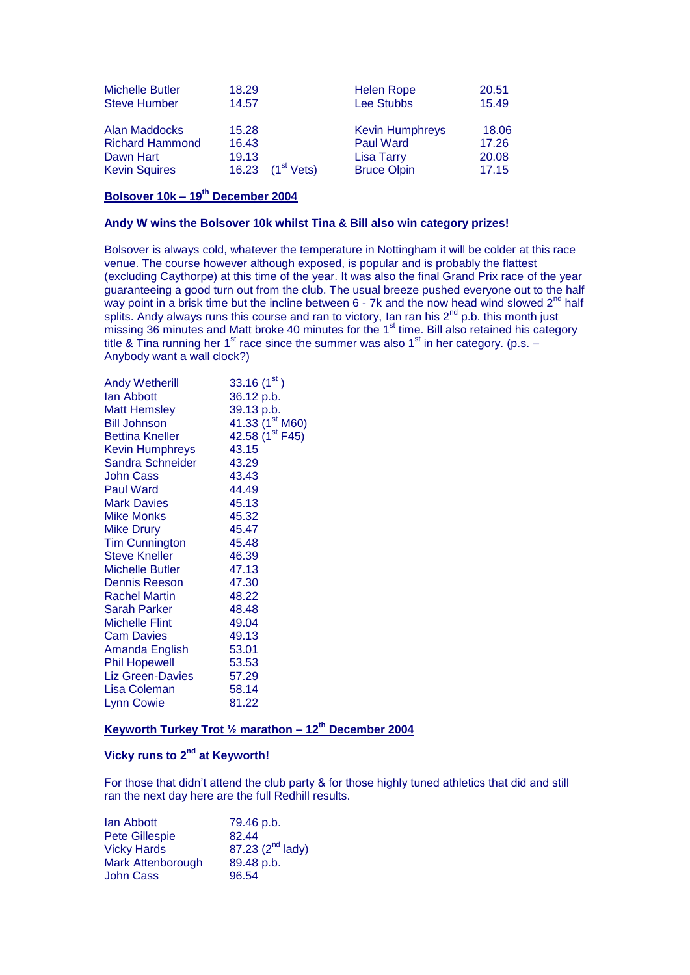| <b>Michelle Butler</b> | 18.29 |                        | <b>Helen Rope</b>      | 20.51 |
|------------------------|-------|------------------------|------------------------|-------|
| <b>Steve Humber</b>    | 14.57 |                        | Lee Stubbs             | 15.49 |
| Alan Maddocks          | 15.28 |                        | <b>Kevin Humphreys</b> | 18.06 |
| <b>Richard Hammond</b> | 16.43 |                        | <b>Paul Ward</b>       | 17.26 |
| Dawn Hart              | 19.13 | (1 <sup>st</sup> Vets) | <b>Lisa Tarry</b>      | 20.08 |
| <b>Kevin Squires</b>   | 16.23 |                        | <b>Bruce Olpin</b>     | 17.15 |

#### **Bolsover 10k – 19th December 2004**

#### **Andy W wins the Bolsover 10k whilst Tina & Bill also win category prizes!**

Bolsover is always cold, whatever the temperature in Nottingham it will be colder at this race venue. The course however although exposed, is popular and is probably the flattest (excluding Caythorpe) at this time of the year. It was also the final Grand Prix race of the year guaranteeing a good turn out from the club. The usual breeze pushed everyone out to the half way point in a brisk time but the incline between  $6$  - 7k and the now head wind slowed  $2^{nd}$  half splits. Andy always runs this course and ran to victory, Ian ran his  $2^{nd}$  p.b. this month just missing 36 minutes and Matt broke 40 minutes for the  $1<sup>st</sup>$  time. Bill also retained his category title & Tina running her 1<sup>st</sup> race since the summer was also 1<sup>st</sup> in her category. (p.s. – Anybody want a wall clock?)

| <b>Andy Wetherill</b>   | 33.16(1 <sup>st</sup> )     |
|-------------------------|-----------------------------|
| lan Abbott              | 36.12 p.b.                  |
| <b>Matt Hemsley</b>     | 39.13 p.b.                  |
| <b>Bill Johnson</b>     | 41.33 $(1st M60)$           |
| <b>Bettina Kneller</b>  | 42.58 (1 <sup>st</sup> F45) |
| <b>Kevin Humphreys</b>  | 43.15                       |
| <b>Sandra Schneider</b> | 43.29                       |
| John Cass               | 43.43                       |
| <b>Paul Ward</b>        | 44.49                       |
|                         | 45.13                       |
| <b>Mark Davies</b>      |                             |
| Mike Monks              | 45.32                       |
| <b>Mike Drury</b>       | 45.47                       |
| <b>Tim Cunnington</b>   | 45.48                       |
| <b>Steve Kneller</b>    | 46.39                       |
| <b>Michelle Butler</b>  | 47.13                       |
| Dennis Reeson           | 47.30                       |
| <b>Rachel Martin</b>    | 48.22                       |
| Sarah Parker            | 48.48                       |
| <b>Michelle Flint</b>   | 49.04                       |
| <b>Cam Davies</b>       | 49.13                       |
| Amanda English          | 53.01                       |
| <b>Phil Hopewell</b>    | 53.53                       |
| Liz Green-Davies        | 57.29                       |
| Lisa Coleman            | 58.14                       |
| Lynn Cowie              | 81.22                       |
|                         |                             |

### **Keyworth Turkey Trot ½ marathon – 12th December 2004**

#### **Vicky runs to 2nd at Keyworth!**

For those that didn't attend the club party & for those highly tuned athletics that did and still ran the next day here are the full Redhill results.

| lan Abbott               | 79.46 p.b.                   |
|--------------------------|------------------------------|
| <b>Pete Gillespie</b>    | 82.44                        |
| <b>Vicky Hards</b>       | 87.23 (2 <sup>nd</sup> lady) |
| <b>Mark Attenborough</b> | 89.48 p.b.                   |
| <b>John Cass</b>         | 96.54                        |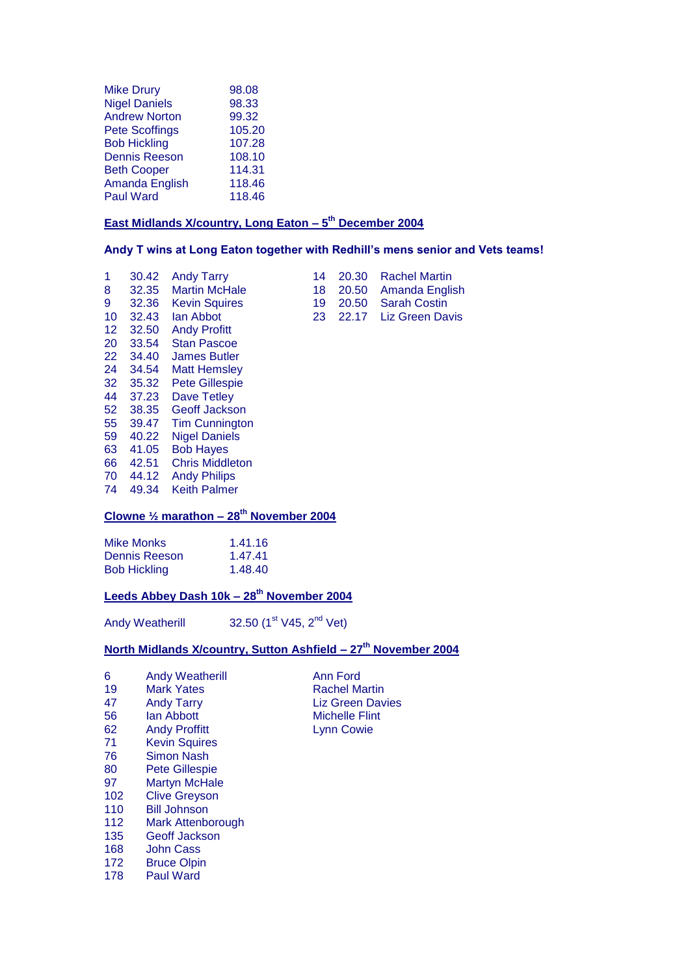| <b>Mike Drury</b>     | 98.08  |
|-----------------------|--------|
| <b>Nigel Daniels</b>  | 98.33  |
| <b>Andrew Norton</b>  | 99.32  |
| <b>Pete Scoffings</b> | 105.20 |
| <b>Bob Hickling</b>   | 107.28 |
| <b>Dennis Reeson</b>  | 108.10 |
| <b>Beth Cooper</b>    | 114.31 |
| Amanda English        | 118.46 |
| <b>Paul Ward</b>      | 118.46 |

#### **East Midlands X/country, Long Eaton – 5 th December 2004**

#### **Andy T wins at Long Eaton together with Redhill's mens senior and Vets teams!**

| 1               | 30.42 | <b>Andy Tarry</b>      | 14 | 20.30 | <b>Rachel Martin</b>   |
|-----------------|-------|------------------------|----|-------|------------------------|
| 8               | 32.35 | <b>Martin McHale</b>   | 18 | 20.50 | Amanda English         |
| 9               | 32.36 | <b>Kevin Squires</b>   | 19 | 20.50 | <b>Sarah Costin</b>    |
| 10              | 32.43 | lan Abbot              | 23 | 22.17 | <b>Liz Green Davis</b> |
| 12 <sup>°</sup> | 32.50 | <b>Andy Profitt</b>    |    |       |                        |
| 20              | 33.54 | <b>Stan Pascoe</b>     |    |       |                        |
| 22              | 34.40 | <b>James Butler</b>    |    |       |                        |
| 24              | 34.54 | <b>Matt Hemsley</b>    |    |       |                        |
| 32              | 35.32 | <b>Pete Gillespie</b>  |    |       |                        |
| 44              | 37.23 | Dave Tetley            |    |       |                        |
| 52 <sub>2</sub> | 38.35 | <b>Geoff Jackson</b>   |    |       |                        |
| 55              | 39.47 | <b>Tim Cunnington</b>  |    |       |                        |
| 59              | 40.22 | <b>Nigel Daniels</b>   |    |       |                        |
| 63              | 41.05 | <b>Bob Hayes</b>       |    |       |                        |
| 66              | 42.51 | <b>Chris Middleton</b> |    |       |                        |
| 70              | 44.12 | <b>Andy Philips</b>    |    |       |                        |
|                 |       |                        |    |       |                        |

- 
- 
- 74 49.34 Keith Palmer

### **Clowne ½ marathon – 28th November 2004**

| Mike Monks          | 1.41.16 |
|---------------------|---------|
| Dennis Reeson       | 1.47.41 |
| <b>Bob Hickling</b> | 1.48.40 |

### **Leeds Abbey Dash 10k – 28th November 2004**

Andy Weatherill  $32.50$  (1<sup>st</sup> V45, 2<sup>nd</sup> Vet)

#### **North Midlands X/country, Sutton Ashfield – 27th November 2004**

| 6  | <b>Andy Weatherill</b> | Ann Ford                |
|----|------------------------|-------------------------|
| 19 | <b>Mark Yates</b>      | <b>Rachel Martin</b>    |
| 47 | <b>Andy Tarry</b>      | <b>Liz Green Davies</b> |
| 56 | lan Abbott             | <b>Michelle Flint</b>   |
| 62 | <b>Andy Proffitt</b>   | <b>Lynn Cowie</b>       |
| 71 | <b>Kevin Squires</b>   |                         |
| 76 | Simon Nash             |                         |
| 80 | <b>Pete Gillespie</b>  |                         |
| 97 | <b>Martyn McHale</b>   |                         |
|    |                        |                         |

- 102 Clive Greyson
- 110 Bill Johnson
- 112 Mark Attenborough
- 135 Geoff Jackson
- 168 John Cass<br>172 Bruce Olpir
- 
- 172 Bruce Olpin<br>178 Paul Ward Paul Ward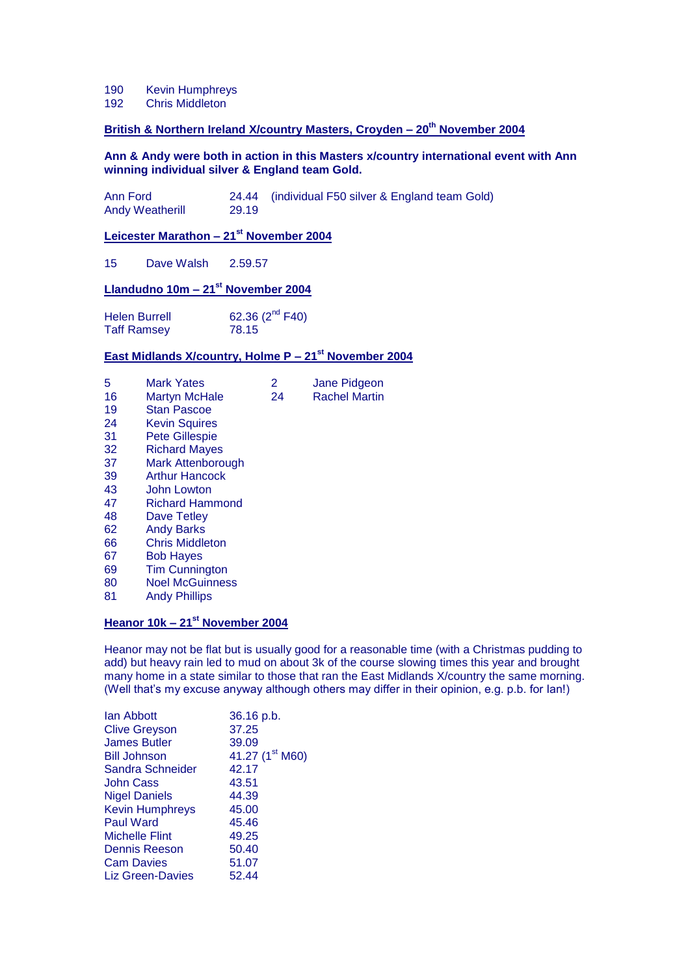- 190 Kevin Humphreys
- 192 Chris Middleton

### **British & Northern Ireland X/country Masters, Croyden – 20th November 2004**

#### **Ann & Andy were both in action in this Masters x/country international event with Ann winning individual silver & England team Gold.**

| Ann Ford               |       | 24.44 (individual F50 silver & England team Gold) |
|------------------------|-------|---------------------------------------------------|
| <b>Andy Weatherill</b> | 29.19 |                                                   |

#### **Leicester Marathon – 21st November 2004**

15 Dave Walsh 2.59.57

#### **Llandudno 10m – 21st November 2004**

| <b>Helen Burrell</b> | 62.36 $(2^{nd}$ F40) |
|----------------------|----------------------|
| <b>Taff Ramsey</b>   | 78.15                |

#### **East Midlands X/country, Holme P – 21st November 2004**

| 5  | <b>Mark Yates</b>      | 2  | Jane Pidgeon         |
|----|------------------------|----|----------------------|
| 16 | Martyn McHale          | 24 | <b>Rachel Martin</b> |
| 19 | <b>Stan Pascoe</b>     |    |                      |
| 24 | <b>Kevin Squires</b>   |    |                      |
| 31 | <b>Pete Gillespie</b>  |    |                      |
| 32 | <b>Richard Mayes</b>   |    |                      |
| 37 | Mark Attenborough      |    |                      |
| 39 | <b>Arthur Hancock</b>  |    |                      |
| 43 | John Lowton            |    |                      |
| 47 | Richard Hammond        |    |                      |
| 48 | Dave Tetley            |    |                      |
| 62 | <b>Andy Barks</b>      |    |                      |
| 66 | <b>Chris Middleton</b> |    |                      |
| 67 | <b>Bob Hayes</b>       |    |                      |
| 69 | <b>Tim Cunnington</b>  |    |                      |
| 80 | <b>Noel McGuinness</b> |    |                      |
| 81 | <b>Andy Phillips</b>   |    |                      |
|    |                        |    |                      |

#### **Heanor 10k – 21st November 2004**

Heanor may not be flat but is usually good for a reasonable time (with a Christmas pudding to add) but heavy rain led to mud on about 3k of the course slowing times this year and brought many home in a state similar to those that ran the East Midlands X/country the same morning. (Well that's my excuse anyway although others may differ in their opinion, e.g. p.b. for Ian!)

| lan Abbott              | 36.16 p.b.                  |
|-------------------------|-----------------------------|
| <b>Clive Greyson</b>    | 37.25                       |
| <b>James Butler</b>     | 39.09                       |
| <b>Bill Johnson</b>     | 41.27 (1 <sup>st</sup> M60) |
| Sandra Schneider        | 42.17                       |
| John Cass               | 43.51                       |
| <b>Nigel Daniels</b>    | 44.39                       |
| <b>Kevin Humphreys</b>  | 45.00                       |
| <b>Paul Ward</b>        | 45.46                       |
| <b>Michelle Flint</b>   | 49.25                       |
| <b>Dennis Reeson</b>    | 50.40                       |
| <b>Cam Davies</b>       | 51.07                       |
| <b>Liz Green-Davies</b> | 52.44                       |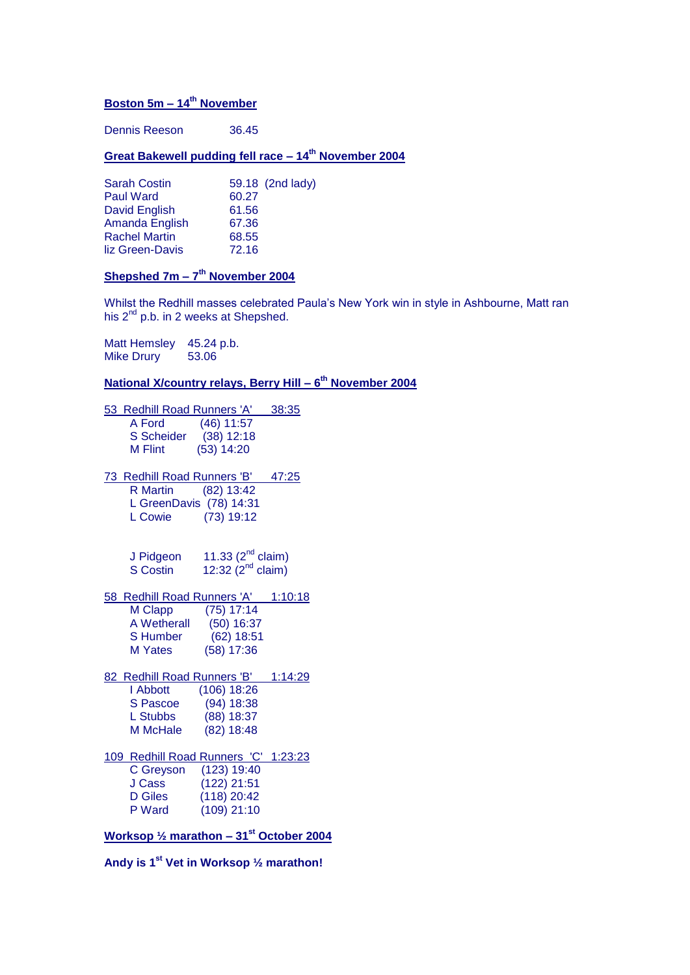#### **Boston 5m – 14th November**

Dennis Reeson 36.45

#### **Great Bakewell pudding fell race – 14th November 2004**

| <b>Sarah Costin</b>  | 59.18 (2nd lady) |
|----------------------|------------------|
| <b>Paul Ward</b>     | 60.27            |
| David English        | 61.56            |
| Amanda English       | 67.36            |
| <b>Rachel Martin</b> | 68.55            |
| liz Green-Davis      | 72.16            |

#### **Shepshed 7m – 7 th November 2004**

Whilst the Redhill masses celebrated Paula's New York win in style in Ashbourne, Matt ran his 2<sup>nd</sup> p.b. in 2 weeks at Shepshed.

Matt Hemsley 45.24 p.b.<br>Mike Drury 53.06 Mike Drury

#### **National X/country relays, Berry Hill – 6 th November 2004**

53 Redhill Road Runners 'A' 38:35 A Ford (46) 11:57<br>S Scheider (38) 12:18  $(38)$  12:18 M Flint (53) 14:20 73 Redhill Road Runners 'B' 47:25 R Martin (82) 13:42 L GreenDavis (78) 14:31 L Cowie (73) 19:12 J Pidgeon  $11.33$  (2<sup>nd</sup> claim) S Costin  $12:32$   $(2^{nd}$  claim) 58 Redhill Road Runners 'A' 1:10:18 M Clapp (75) 17:14

 A Wetherall (50) 16:37 S Humber M Yates (58) 17:36

#### 82 Redhill Road Runners 'B' 1:14:29 I Abbott (106) 18:26 S Pascoe (94) 18:38

| L Stubbs | $(88)$ 18:37 |
|----------|--------------|
| M McHale | $(82)$ 18:48 |
|          |              |

#### 109 Redhill Road Runners 'C' 1:23:23 C Greyson (123) 19:40 J Cass (122) 21:51 D Giles (118) 20:42 P Ward (109) 21:10

**Worksop ½ marathon – 31st October 2004**

**Andy is 1st Vet in Worksop ½ marathon!**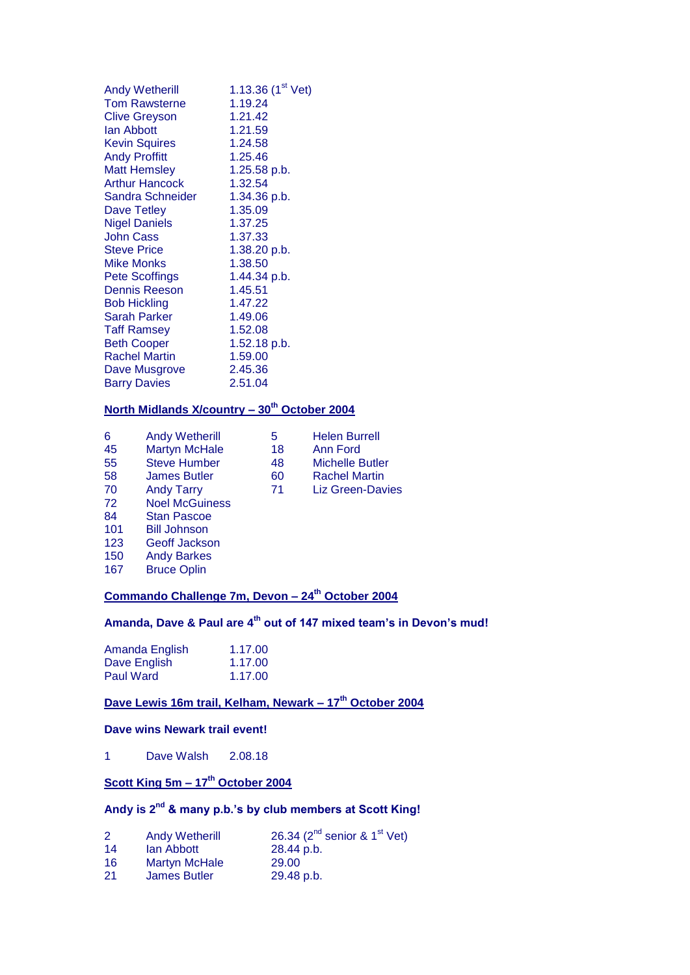| <b>Andy Wetherill</b> | 1.13.36 $(1st Vet)$ |
|-----------------------|---------------------|
| <b>Tom Rawsterne</b>  | 1.19.24             |
| <b>Clive Greyson</b>  | 1.21.42             |
| lan Abbott            | 1.21.59             |
| <b>Kevin Squires</b>  | 1.24.58             |
| <b>Andy Proffitt</b>  | 1.25.46             |
| <b>Matt Hemsley</b>   | 1.25.58 p.b.        |
| <b>Arthur Hancock</b> | 1.32.54             |
| Sandra Schneider      | 1.34.36 p.b.        |
| Dave Tetley           | 1.35.09             |
| <b>Nigel Daniels</b>  | 1.37.25             |
| <b>John Cass</b>      | 1.37.33             |
| <b>Steve Price</b>    | 1.38.20 p.b.        |
| Mike Monks            | 1.38.50             |
| Pete Scoffings        | 1.44.34 p.b.        |
| <b>Dennis Reeson</b>  | 1.45.51             |
| <b>Bob Hickling</b>   | 1.47.22             |
| <b>Sarah Parker</b>   | 1.49.06             |
| <b>Taff Ramsey</b>    | 1.52.08             |
| <b>Beth Cooper</b>    | 1.52.18 p.b.        |
| <b>Rachel Martin</b>  | 1.59.00             |
| Dave Musgrove         | 2.45.36             |
| <b>Barry Davies</b>   | 2.51.04             |

### **North Midlands X/country – 30th October 2004**

| 6   | <b>Andy Wetherill</b> | 5  | <b>Helen Burrell</b>    |
|-----|-----------------------|----|-------------------------|
| 45  | <b>Martyn McHale</b>  | 18 | Ann Ford                |
| 55  | <b>Steve Humber</b>   | 48 | <b>Michelle Butler</b>  |
| 58  | <b>James Butler</b>   | 60 | <b>Rachel Martin</b>    |
| 70  | <b>Andy Tarry</b>     | 71 | <b>Liz Green-Davies</b> |
| 72  | <b>Noel McGuiness</b> |    |                         |
| 84  | <b>Stan Pascoe</b>    |    |                         |
| 101 | <b>Bill Johnson</b>   |    |                         |
| 123 | Geoff Jackson         |    |                         |
| 150 | <b>Andy Barkes</b>    |    |                         |
| 167 | <b>Bruce Oplin</b>    |    |                         |

# **Commando Challenge 7m, Devon – 24th October 2004**

# **Amanda, Dave & Paul are 4th out of 147 mixed team's in Devon's mud!**

| Amanda English | 1.17.00 |
|----------------|---------|
| Dave English   | 1.17.00 |
| Paul Ward      | 1.17.00 |

# **Dave Lewis 16m trail, Kelham, Newark – 17th October 2004**

#### **Dave wins Newark trail event!**

1 Dave Walsh 2.08.18

# **Scott King 5m – 17th October 2004**

# **Andy is 2nd & many p.b.'s by club members at Scott King!**

| 26.34 ( $2^{nd}$ senior & $1^{st}$ Vet) |
|-----------------------------------------|
|                                         |
|                                         |
|                                         |
|                                         |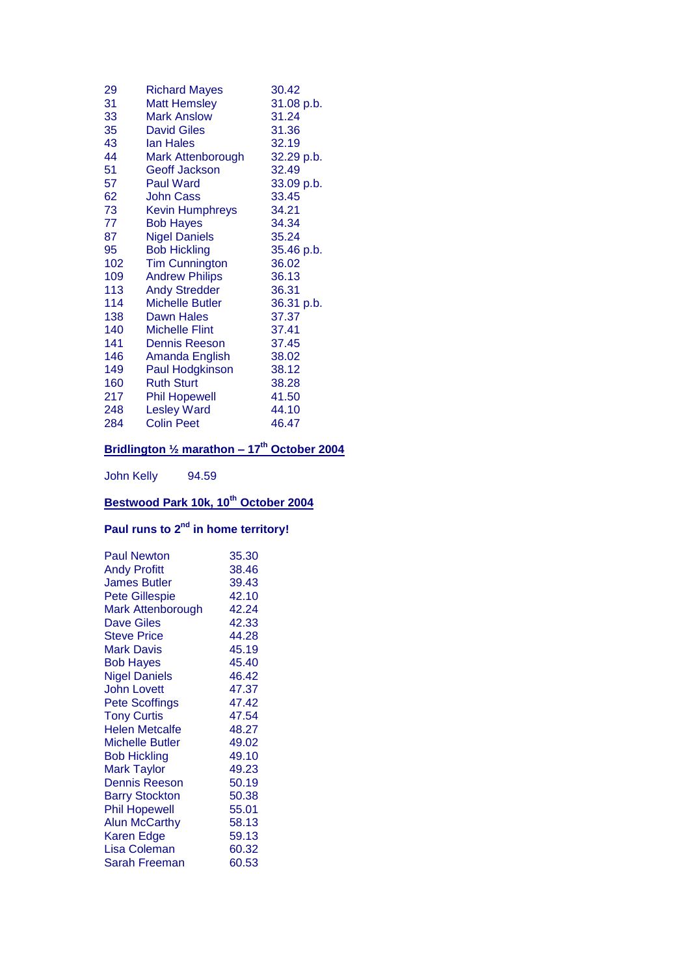| 29  | <b>Richard Mayes</b>   | 30.42      |
|-----|------------------------|------------|
| 31  | <b>Matt Hemsley</b>    | 31.08 p.b. |
| 33  | <b>Mark Anslow</b>     | 31.24      |
| 35  | <b>David Giles</b>     | 31.36      |
| 43  | <b>lan Hales</b>       | 32.19      |
| 44  | Mark Attenborough      | 32.29 p.b. |
| 51  | <b>Geoff Jackson</b>   | 32.49      |
| 57  | <b>Paul Ward</b>       | 33.09 p.b. |
| 62  | <b>John Cass</b>       | 33.45      |
| 73  | <b>Kevin Humphreys</b> | 34.21      |
| 77  | <b>Bob Hayes</b>       | 34.34      |
| 87  | <b>Nigel Daniels</b>   | 35.24      |
| 95  | <b>Bob Hickling</b>    | 35.46 p.b. |
| 102 | <b>Tim Cunnington</b>  | 36.02      |
| 109 | <b>Andrew Philips</b>  | 36.13      |
| 113 | <b>Andy Stredder</b>   | 36.31      |
| 114 | <b>Michelle Butler</b> | 36.31 p.b. |
| 138 | <b>Dawn Hales</b>      | 37.37      |
| 140 | <b>Michelle Flint</b>  | 37.41      |
| 141 | <b>Dennis Reeson</b>   | 37.45      |
| 146 | Amanda English         | 38.02      |
| 149 | Paul Hodgkinson        | 38.12      |
| 160 | <b>Ruth Sturt</b>      | 38.28      |
| 217 | <b>Phil Hopewell</b>   | 41.50      |
| 248 | <b>Lesley Ward</b>     | 44.10      |
| 284 | <b>Colin Peet</b>      | 46.47      |
|     |                        |            |

# **Bridlington ½ marathon – 17th October 2004**

John Kelly 94.59

# **Bestwood Park 10k, 10th October 2004**

# **Paul runs to 2nd in home territory!**

| <b>Paul Newton</b>     | 35.30 |
|------------------------|-------|
| <b>Andy Profitt</b>    | 38.46 |
| <b>James Butler</b>    | 39.43 |
| <b>Pete Gillespie</b>  | 42.10 |
| Mark Attenborough      | 42.24 |
| <b>Dave Giles</b>      | 42.33 |
| <b>Steve Price</b>     | 44.28 |
| Mark Davis             | 45.19 |
| <b>Bob Hayes</b>       | 45.40 |
| <b>Nigel Daniels</b>   | 46.42 |
| <b>John Lovett</b>     | 47.37 |
| <b>Pete Scoffings</b>  | 47.42 |
| <b>Tony Curtis</b>     | 47.54 |
| <b>Helen Metcalfe</b>  | 48.27 |
| <b>Michelle Butler</b> | 49.02 |
| <b>Bob Hickling</b>    | 49.10 |
| <b>Mark Taylor</b>     | 49.23 |
| <b>Dennis Reeson</b>   | 50.19 |
| <b>Barry Stockton</b>  | 50.38 |
| <b>Phil Hopewell</b>   | 55.01 |
| <b>Alun McCarthy</b>   | 58.13 |
| <b>Karen Edge</b>      | 59.13 |
| Lisa Coleman           | 60.32 |
| Sarah Freeman          | 60.53 |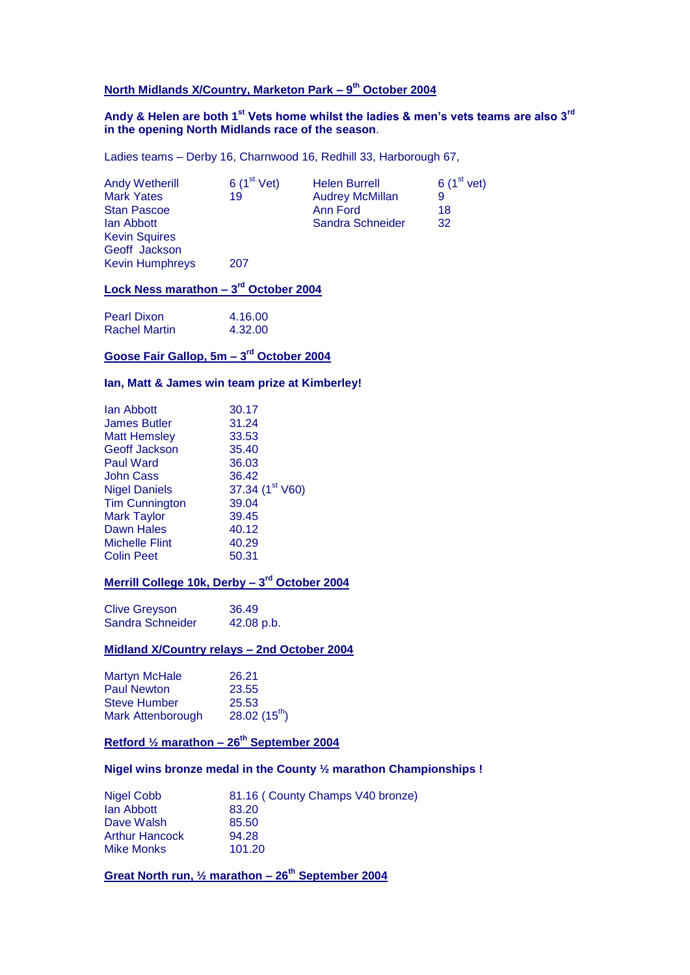#### **North Midlands X/Country, Marketon Park – 9 th October 2004**

#### **Andy & Helen are both 1st Vets home whilst the ladies & men's vets teams are also 3rd in the opening North Midlands race of the season**.

Ladies teams – Derby 16, Charnwood 16, Redhill 33, Harborough 67,

| 6(1 <sup>st</sup> Vet) | <b>Helen Burrell</b>   | 6(1 <sup>st</sup> vet) |
|------------------------|------------------------|------------------------|
| 19                     | <b>Audrey McMillan</b> | 9                      |
|                        | Ann Ford               | 18                     |
|                        | Sandra Schneider       | 32                     |
|                        |                        |                        |
|                        |                        |                        |
| 207                    |                        |                        |
|                        |                        |                        |

#### **Lock Ness marathon – 3 rd October 2004**

| Pearl Dixon   | 4.16.00 |
|---------------|---------|
| Rachel Martin | 4.32.00 |

#### **Goose Fair Gallop, 5m – 3 rd October 2004**

#### **Ian, Matt & James win team prize at Kimberley!**

| lan Abbott            | 30.17           |
|-----------------------|-----------------|
| <b>James Butler</b>   | 31.24           |
| <b>Matt Hemsley</b>   | 33.53           |
| <b>Geoff Jackson</b>  | 35.40           |
| <b>Paul Ward</b>      | 36.03           |
| John Cass             | 36.42           |
| <b>Nigel Daniels</b>  | 37.34 (1st V60) |
| <b>Tim Cunnington</b> | 39.04           |
| <b>Mark Taylor</b>    | 39.45           |
| <b>Dawn Hales</b>     | 40.12           |
| <b>Michelle Flint</b> | 40.29           |
| <b>Colin Peet</b>     | 50.31           |

#### **Merrill College 10k, Derby – 3 rd October 2004**

Clive Greyson 36.49<br>Sandra Schneider 42.08 p.b. Sandra Schneider

#### **Midland X/Country relays – 2nd October 2004**

| <b>Martyn McHale</b>     | 26.21             |
|--------------------------|-------------------|
| <b>Paul Newton</b>       | 23.55             |
| <b>Steve Humber</b>      | 25.53             |
| <b>Mark Attenborough</b> | 28.02 $(15^{th})$ |

### **Retford ½ marathon – 26th September 2004**

#### **Nigel wins bronze medal in the County ½ marathon Championships !**

| Nigel Cobb            | 81.16 (County Champs V40 bronze) |
|-----------------------|----------------------------------|
| lan Abbott            | 83.20                            |
| Dave Walsh            | 85.50                            |
| <b>Arthur Hancock</b> | 94.28                            |
| <b>Mike Monks</b>     | 101.20                           |

**Great North run, ½ marathon – 26th September 2004**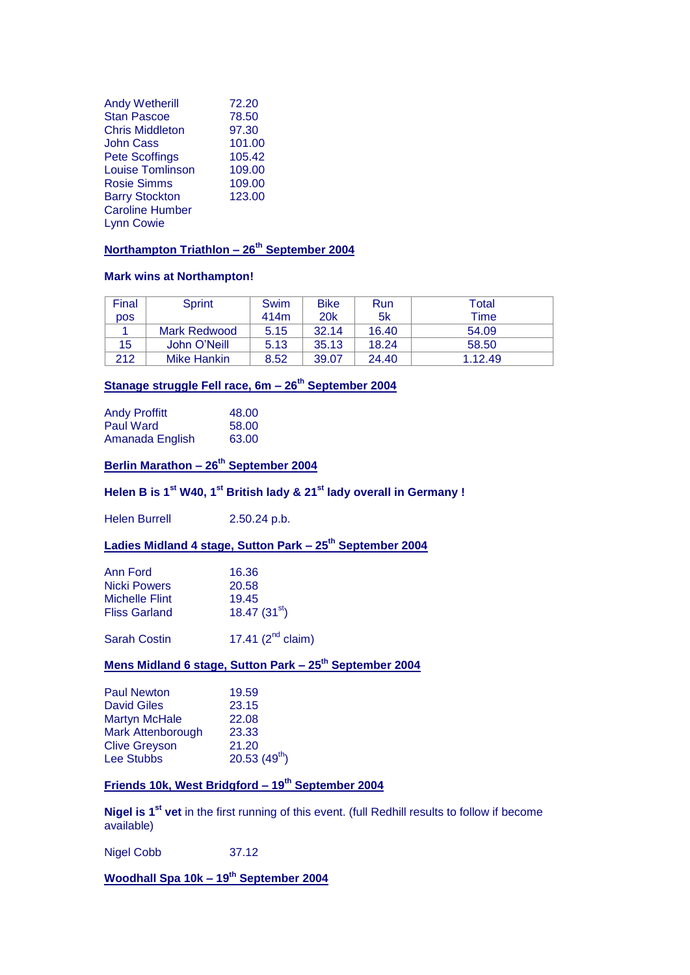| <b>Andy Wetherill</b>   | 72.20  |
|-------------------------|--------|
| <b>Stan Pascoe</b>      | 78.50  |
| <b>Chris Middleton</b>  | 97.30  |
| John Cass               | 101.00 |
| <b>Pete Scoffings</b>   | 105.42 |
| <b>Louise Tomlinson</b> | 109.00 |
| <b>Rosie Simms</b>      | 109.00 |
| <b>Barry Stockton</b>   | 123.00 |
| <b>Caroline Humber</b>  |        |
| <b>Lynn Cowie</b>       |        |
|                         |        |

#### **Northampton Triathlon – 26th September 2004**

#### **Mark wins at Northampton!**

| Final | Sprint       | Swim | <b>Bike</b>     | Run   | Total   |
|-------|--------------|------|-----------------|-------|---------|
| DOS.  |              | 414m | 20 <sub>k</sub> | 5k    | Time    |
|       | Mark Redwood | 5.15 | 32.14           | 16.40 | 54.09   |
| 15    | John O'Neill | 5.13 | 35.13           | 18.24 | 58.50   |
| 212   | Mike Hankin  | 8.52 | 39.07           | 24.40 | 1.12.49 |

# **Stanage struggle Fell race, 6m – 26th September 2004**

| <b>Andy Proffitt</b> | 48.00 |
|----------------------|-------|
| Paul Ward            | 58.00 |
| Amanada English      | 63.00 |

# **Berlin Marathon – 26th September 2004**

### **Helen B is 1st W40, 1st British lady & 21st lady overall in Germany !**

Helen Burrell 2.50.24 p.b.

### **Ladies Midland 4 stage, Sutton Park – 25th September 2004**

| Ann Ford       | 16.36          |
|----------------|----------------|
| Nicki Powers   | 20.58          |
| Michelle Flint | 19.45          |
| Fliss Garland  | 18.47 $(31st)$ |
|                |                |

Sarah Costin  $17.41$  ( $2<sup>nd</sup>$  claim)

#### **Mens Midland 6 stage, Sutton Park – 25th September 2004**

| <b>Paul Newton</b>       | 19.59             |
|--------------------------|-------------------|
| <b>David Giles</b>       | 23.15             |
| <b>Martyn McHale</b>     | 22.08             |
| <b>Mark Attenborough</b> | 23.33             |
| <b>Clive Greyson</b>     | 21.20             |
| <b>Lee Stubbs</b>        | 20.53 $(49^{th})$ |

#### **Friends 10k, West Bridgford – 19th September 2004**

**Nigel is 1st vet** in the first running of this event. (full Redhill results to follow if become available)

Nigel Cobb 37.12

**Woodhall Spa 10k – 19th September 2004**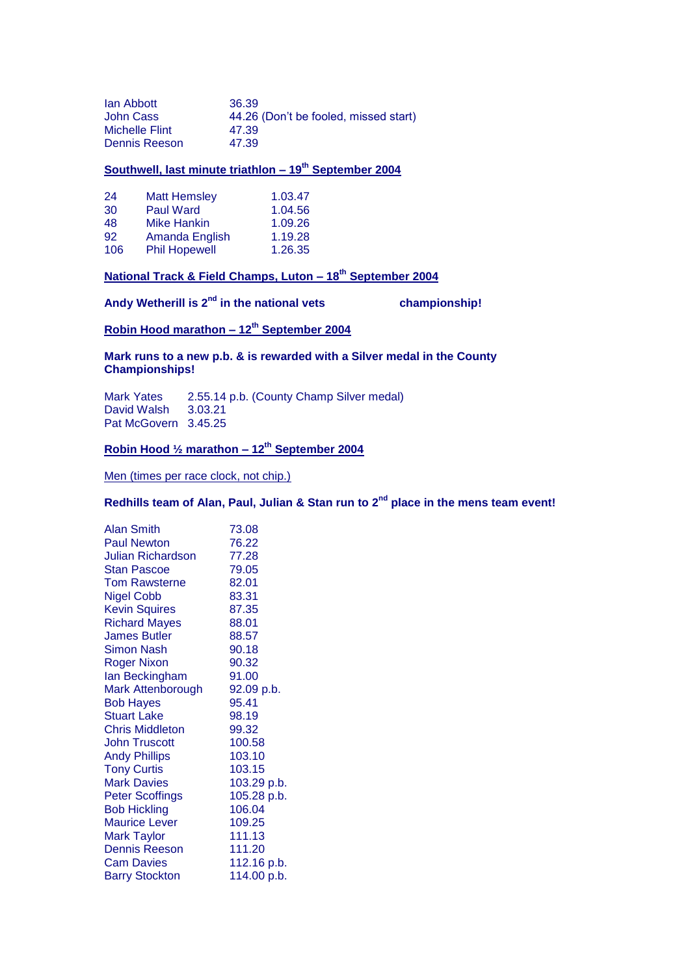| lan Abbott            | 36.39                                 |
|-----------------------|---------------------------------------|
| John Cass             | 44.26 (Don't be fooled, missed start) |
| <b>Michelle Flint</b> | 47.39                                 |
| Dennis Reeson         | 47.39                                 |

#### **Southwell, last minute triathlon – 19th September 2004**

| 24  | <b>Matt Hemsley</b>  | 1.03.47 |
|-----|----------------------|---------|
| 30  | <b>Paul Ward</b>     | 1.04.56 |
| 48  | Mike Hankin          | 1.09.26 |
| 92  | Amanda English       | 1.19.28 |
| 106 | <b>Phil Hopewell</b> | 1.26.35 |

# **National Track & Field Champs, Luton – 18th September 2004**

**Andy Wetherill is 2nd in the national vets championship!**

### **Robin Hood marathon – 12th September 2004**

#### **Mark runs to a new p.b. & is rewarded with a Silver medal in the County Championships!**

Mark Yates 2.55.14 p.b. (County Champ Silver medal) David Walsh 3.03.21 Pat McGovern 3.45.25

#### **Robin Hood ½ marathon – 12th September 2004**

Men (times per race clock, not chip.)

# **Redhills team of Alan, Paul, Julian & Stan run to 2nd place in the mens team event!**

| <b>Alan Smith</b>      | 73.08       |
|------------------------|-------------|
| <b>Paul Newton</b>     | 76.22       |
| Julian Richardson.     | 77.28       |
| <b>Stan Pascoe</b>     | 79.05       |
| <b>Tom Rawsterne</b>   | 82.01       |
| <b>Nigel Cobb</b>      | 83.31       |
| <b>Kevin Squires</b>   | 87.35       |
| <b>Richard Mayes</b>   | 88.01       |
| <b>James Butler</b>    | 88.57       |
| <b>Simon Nash</b>      | 90.18       |
| <b>Roger Nixon</b>     | 90.32       |
| lan Beckingham         | 91.00       |
| Mark Attenborough      | 92.09 p.b.  |
| <b>Bob Hayes</b>       | 95.41       |
| <b>Stuart Lake</b>     | 98.19       |
| <b>Chris Middleton</b> | 99.32       |
| <b>John Truscott</b>   | 100.58      |
| <b>Andy Phillips</b>   | 103.10      |
| <b>Tony Curtis</b>     | 103.15      |
| <b>Mark Davies</b>     | 103.29 p.b. |
| <b>Peter Scoffings</b> | 105.28 p.b. |
| <b>Bob Hickling</b>    | 106.04      |
| <b>Maurice Lever</b>   | 109.25      |
| <b>Mark Taylor</b>     | 111.13      |
| <b>Dennis Reeson</b>   | 111.20      |
| <b>Cam Davies</b>      | 112.16 p.b. |
| <b>Barry Stockton</b>  | 114.00 p.b. |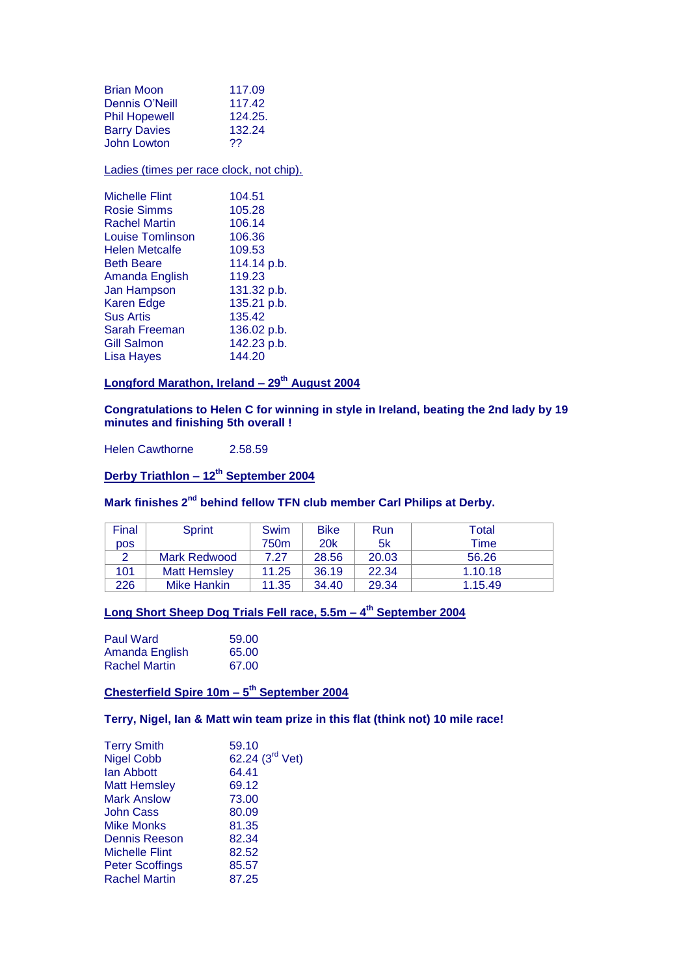| <b>Brian Moon</b><br>Dennis O'Neill<br><b>Phil Hopewell</b><br><b>Barry Davies</b><br><b>John Lowton</b> | 117.09<br>117.42<br>124.25.<br>132.24<br>?? |
|----------------------------------------------------------------------------------------------------------|---------------------------------------------|
| Ladies (times per race clock, not chip).                                                                 |                                             |
| <b>Michelle Flint</b>                                                                                    | 104.51                                      |
| <b>Rosie Simms</b>                                                                                       | 105.28                                      |
| <b>Rachel Martin</b>                                                                                     | 106.14                                      |
| Louise Tomlinson                                                                                         | 106.36                                      |
| <b>Helen Metcalfe</b>                                                                                    | 109.53                                      |
| <b>Beth Beare</b>                                                                                        | 114.14 p.b.                                 |
|                                                                                                          | 119.23                                      |
| Amanda English                                                                                           |                                             |
| Jan Hampson                                                                                              | 131.32 p.b.                                 |
| <b>Karen Edge</b>                                                                                        | 135.21 p.b.                                 |
| <b>Sus Artis</b>                                                                                         | 135.42                                      |
| Sarah Freeman                                                                                            | 136.02 p.b.                                 |
| Gill Salmon                                                                                              | 142.23 p.b.                                 |
| Lisa Hayes                                                                                               | 144.20                                      |
|                                                                                                          |                                             |

**Longford Marathon, Ireland – 29th August 2004**

#### **Congratulations to Helen C for winning in style in Ireland, beating the 2nd lady by 19 minutes and finishing 5th overall !**

Helen Cawthorne 2.58.59

**Derby Triathlon – 12th September 2004**

# **Mark finishes 2nd behind fellow TFN club member Carl Philips at Derby.**

| Final      | Sprint              | Swim             | <b>Bike</b> | Run   | Total   |
|------------|---------------------|------------------|-------------|-------|---------|
| <b>DOS</b> |                     | 750 <sub>m</sub> | <b>20k</b>  | 5k    | Time    |
|            | <b>Mark Redwood</b> | 7.27             | 28.56       | 20.03 | 56.26   |
| 101        | <b>Matt Hemsley</b> | 11.25            | 36.19       | 22.34 | 1.10.18 |
| 226        | Mike Hankin         | 11.35            | 34.40       | 29.34 | 1.15.49 |

#### **Long Short Sheep Dog Trials Fell race, 5.5m – 4 th September 2004**

| <b>Paul Ward</b>     | 59.00 |
|----------------------|-------|
| Amanda English       | 65.00 |
| <b>Rachel Martin</b> | 67.00 |

**Chesterfield Spire 10m – 5 th September 2004**

**Terry, Nigel, Ian & Matt win team prize in this flat (think not) 10 mile race!**

| <b>Terry Smith</b>     | 59.10                       |
|------------------------|-----------------------------|
| <b>Nigel Cobb</b>      | 62.24 (3 <sup>rd</sup> Vet) |
| lan Abbott             | 64.41                       |
| <b>Matt Hemsley</b>    | 69.12                       |
| <b>Mark Anslow</b>     | 73.00                       |
| <b>John Cass</b>       | 80.09                       |
| <b>Mike Monks</b>      | 81.35                       |
| <b>Dennis Reeson</b>   | 82.34                       |
| <b>Michelle Flint</b>  | 82.52                       |
| <b>Peter Scoffings</b> | 85.57                       |
| <b>Rachel Martin</b>   | 87.25                       |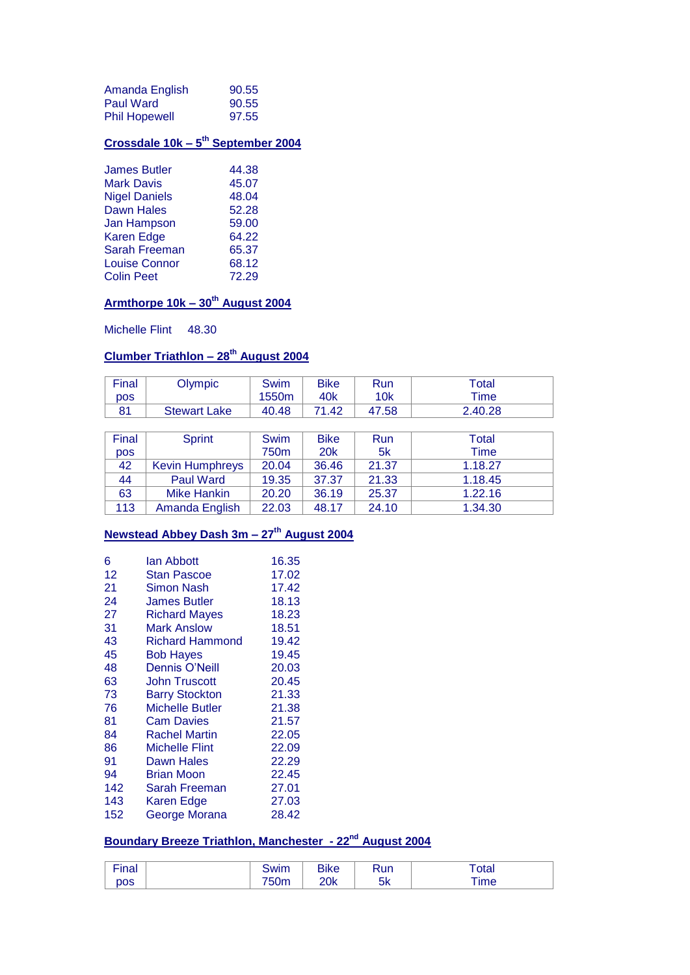| Amanda English       | 90.55 |
|----------------------|-------|
| Paul Ward            | 90.55 |
| <b>Phil Hopewell</b> | 97.55 |

#### **Crossdale 10k – 5 th September 2004**

| <b>James Butler</b>  | 44.38 |
|----------------------|-------|
| <b>Mark Davis</b>    | 45.07 |
| <b>Nigel Daniels</b> | 48.04 |
| <b>Dawn Hales</b>    | 52.28 |
| Jan Hampson          | 59.00 |
| <b>Karen Edge</b>    | 64.22 |
| <b>Sarah Freeman</b> | 65.37 |
| <b>Louise Connor</b> | 68.12 |
| <b>Colin Peet</b>    | 72.29 |

# **Armthorpe 10k – 30th August 2004**

Michelle Flint 48.30

# **Clumber Triathlon – 28th August 2004**

| Final      | Olympic             | Swim  | <b>Bike</b> | <b>Run</b> | $\tau$ otal $\;$ |
|------------|---------------------|-------|-------------|------------|------------------|
| <b>DOS</b> |                     | 1550m | 40k         | 10k        | Time             |
| 81         | <b>Stewart Lake</b> | 40.48 | .42         | 47.58      | 2.40.28          |

| Final | Sprint                 | Swim             | <b>Bike</b> | Run   | Total       |
|-------|------------------------|------------------|-------------|-------|-------------|
| pos   |                        | 750 <sub>m</sub> | <b>20k</b>  | 5k    | <b>Time</b> |
| 42    | <b>Kevin Humphreys</b> | 20.04            | 36.46       | 21.37 | 1.18.27     |
| 44    | <b>Paul Ward</b>       | 19.35            | 37.37       | 21.33 | 1.18.45     |
| 63    | <b>Mike Hankin</b>     | 20.20            | 36.19       | 25.37 | 1.22.16     |
| 113   | Amanda English         | 22.03            | 48.17       | 24.10 | 1.34.30     |

# **Newstead Abbey Dash 3m – 27th August 2004**

| 6<br>12<br>21<br>24<br>27 | lan Abbott<br>Stan Pascoe<br>Simon Nash<br><b>James Butler</b><br><b>Richard Mayes</b> | 16.35<br>17.02<br>17.42<br>18.13<br>18.23 |
|---------------------------|----------------------------------------------------------------------------------------|-------------------------------------------|
| 31                        | Mark Anslow                                                                            | 18.51                                     |
| 43                        | <b>Richard Hammond</b>                                                                 | 19.42                                     |
| 45                        | <b>Bob Hayes</b>                                                                       | 19.45                                     |
| 48                        | Dennis O'Neill                                                                         | 20.03                                     |
| 63                        | John Truscott                                                                          | 20.45                                     |
| 73                        | <b>Barry Stockton</b>                                                                  | 21.33                                     |
| 76                        | <b>Michelle Butler</b>                                                                 | 21.38                                     |
| 81                        | <b>Cam Davies</b>                                                                      | 21.57                                     |
| 84                        | <b>Rachel Martin</b>                                                                   | 22.05                                     |
| 86                        | <b>Michelle Flint</b>                                                                  | 22.09                                     |
| 91                        | Dawn Hales                                                                             | 22.29                                     |
| 94                        | Brian Moon                                                                             | 22.45                                     |
| 142                       | Sarah Freeman                                                                          | 27.01                                     |
| 143                       | Karen Edge                                                                             | 27.03                                     |
| 152                       | George Morana                                                                          | 28.42                                     |

# **Boundary Breeze Triathlon, Manchester - 22nd August 2004**

| <b>Tinor</b><br>паг | <b>SWIM</b> | <b>Bike</b> | Run              | υιαι                |
|---------------------|-------------|-------------|------------------|---------------------|
| <b>DOS</b>          | ,,,,,       | 20k         | mп<br><b>VIV</b> | 11 I I <del>U</del> |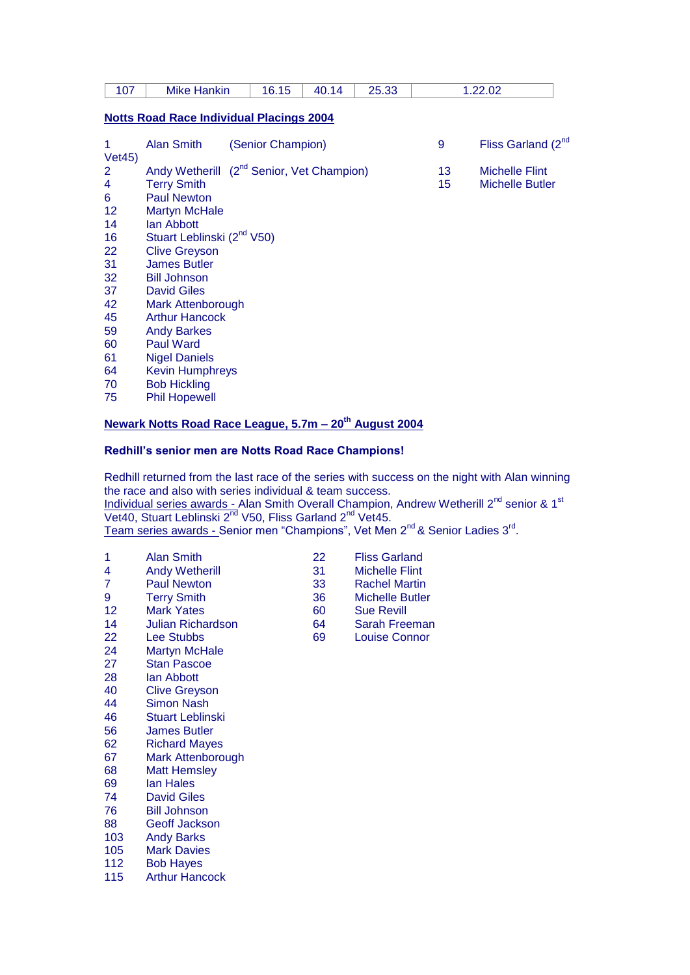| 107                                                                              | <b>Mike Hankin</b>                                                                                                                                                                                                                                                            | 16.15             | 40.14 | 25.33 |          | 1.22.02                                         |  |
|----------------------------------------------------------------------------------|-------------------------------------------------------------------------------------------------------------------------------------------------------------------------------------------------------------------------------------------------------------------------------|-------------------|-------|-------|----------|-------------------------------------------------|--|
|                                                                                  | <b>Notts Road Race Individual Placings 2004</b>                                                                                                                                                                                                                               |                   |       |       |          |                                                 |  |
| 1                                                                                | Alan Smith                                                                                                                                                                                                                                                                    | (Senior Champion) |       |       | 9        | Fliss Garland (2 <sup>nd</sup>                  |  |
| Veta(45)<br>2<br>4<br>6<br>$12 \overline{ }$<br>14<br>16<br>22<br>31<br>32<br>37 | Andy Wetherill (2 <sup>nd</sup> Senior, Vet Champion)<br><b>Terry Smith</b><br><b>Paul Newton</b><br><b>Martyn McHale</b><br>lan Abbott<br>Stuart Leblinski (2 <sup>nd</sup> V50)<br><b>Clive Greyson</b><br><b>James Butler</b><br><b>Bill Johnson</b><br><b>David Giles</b> |                   |       |       | 13<br>15 | <b>Michelle Flint</b><br><b>Michelle Butler</b> |  |
| 42<br>45<br>59<br>60<br>61<br>64<br>70<br>75                                     | <b>Mark Attenborough</b><br><b>Arthur Hancock</b><br><b>Andy Barkes</b><br><b>Paul Ward</b><br><b>Nigel Daniels</b><br><b>Kevin Humphreys</b><br><b>Bob Hickling</b><br><b>Phil Hopewell</b>                                                                                  |                   |       |       |          |                                                 |  |

#### **Newark Notts Road Race League, 5.7m – 20th August 2004**

#### **Redhill's senior men are Notts Road Race Champions!**

Redhill returned from the last race of the series with success on the night with Alan winning the race and also with series individual & team success. Individual series awards - Alan Smith Overall Champion, Andrew Wetherill 2<sup>nd</sup> senior & 1<sup>st</sup> Vet40, Stuart Leblinski 2<sup>nd</sup> V50, Fliss Garland 2<sup>nd</sup> Vet45. Team series awards - Senior men "Champions", Vet Men 2<sup>nd</sup> & Senior Ladies 3<sup>rd</sup>.

- 1 Alan Smith 22 Fliss Garland<br>4 Andy Wetherill 31 Michelle Flint
- 4 Andy Wetherill 31<br>
7 Paul Newton 33
- 
- 
- 12 Mark Yates 60 Sue Revill
- Julian Richardson 64 Sarah Freeman
- 22 Lee Stubbs 69 Louise Connor
- 24 Martyn McHale
- Stan Pascoe
- 28 Ian Abbott<br>40 Clive Grevs
- 40 Clive Greyson<br>44 Simon Nash
- Simon Nash
- Stuart Leblinski
- James Butler
- Richard Mayes
- Mark Attenborough
- Matt Hemsley
- Ian Hales David Giles
- Bill Johnson
- Geoff Jackson
- Andy Barks
- Mark Davies
- Bob Hayes
- Arthur Hancock
- 
- 
- Paul Newton 33 Rachel Martin
- Terry Smith 36 Michelle Butler
	-
	-
	-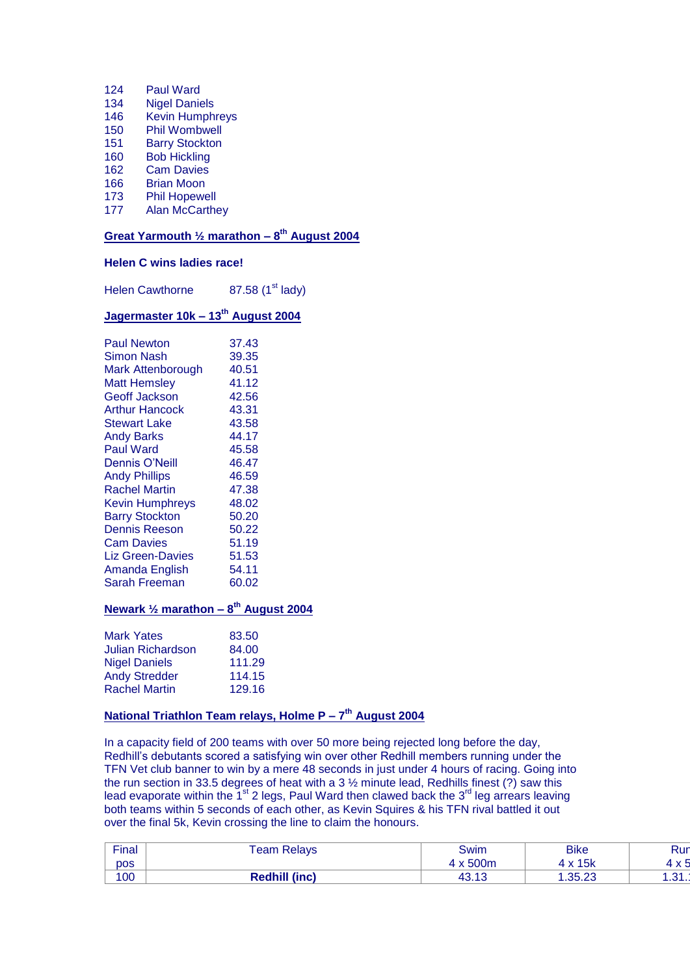- 124 Paul Ward
- 134 Nigel Daniels
- 146 Kevin Humphreys
- 150 Phil Wombwell
- 151 Barry Stockton
- 160 Bob Hickling
- 162 Cam Davies<br>166 Brian Moon
- 166 Brian Moon<br>173 Phil Hopewe
- 173 Phil Hopewell<br>177 Alan McCarthe
- Alan McCarthey

#### **Great Yarmouth ½ marathon – 8 th August 2004**

#### **Helen C wins ladies race!**

Helen Cawthorne  $87.58$  (1<sup>st</sup> lady)

### **Jagermaster 10k – 13th August 2004**

| <b>Paul Newton</b>      | 37.43 |
|-------------------------|-------|
| Simon Nash              | 39.35 |
| Mark Attenborough       | 40.51 |
| <b>Matt Hemsley</b>     | 41.12 |
| Geoff Jackson           | 42.56 |
| <b>Arthur Hancock</b>   | 43.31 |
| <b>Stewart Lake</b>     | 43.58 |
| <b>Andy Barks</b>       | 44.17 |
| <b>Paul Ward</b>        | 45.58 |
| Dennis O'Neill          | 46.47 |
| <b>Andy Phillips</b>    | 46.59 |
| <b>Rachel Martin</b>    | 47.38 |
| <b>Kevin Humphreys</b>  | 48.02 |
| <b>Barry Stockton</b>   | 50.20 |
| <b>Dennis Reeson</b>    | 50.22 |
| <b>Cam Davies</b>       | 51.19 |
| <b>Liz Green-Davies</b> | 51.53 |
| Amanda English          | 54.11 |
| Sarah Freeman           | 60.02 |

#### **Newark ½ marathon – 8 th August 2004**

| <b>Mark Yates</b>    | 83.50  |
|----------------------|--------|
| Julian Richardson    | 84.00  |
| <b>Nigel Daniels</b> | 111.29 |
| <b>Andy Stredder</b> | 114.15 |
| <b>Rachel Martin</b> | 129.16 |
|                      |        |

#### **National Triathlon Team relays, Holme P – 7 th August 2004**

In a capacity field of 200 teams with over 50 more being rejected long before the day, Redhill's debutants scored a satisfying win over other Redhill members running under the TFN Vet club banner to win by a mere 48 seconds in just under 4 hours of racing. Going into the run section in 33.5 degrees of heat with a 3  $\frac{1}{2}$  minute lead, Redhills finest (?) saw this lead evaporate within the 1<sup>st</sup> 2 legs, Paul Ward then clawed back the  $3^{rd}$  leg arrears leaving both teams within 5 seconds of each other, as Kevin Squires & his TFN rival battled it out over the final 5k, Kevin crossing the line to claim the honours.

| Final | <b>Team Relays</b>   | Swim            | <b>Bike</b>                 | Rur           |
|-------|----------------------|-----------------|-----------------------------|---------------|
| pos   |                      | x 500m          | x 15k                       | ں ہ           |
| 100   | <b>Redhill (inc)</b> | 10 T.O<br>טו.∪+ | 35.23<br>$\sim$ -00. $\sim$ | $\Omega$<br>. |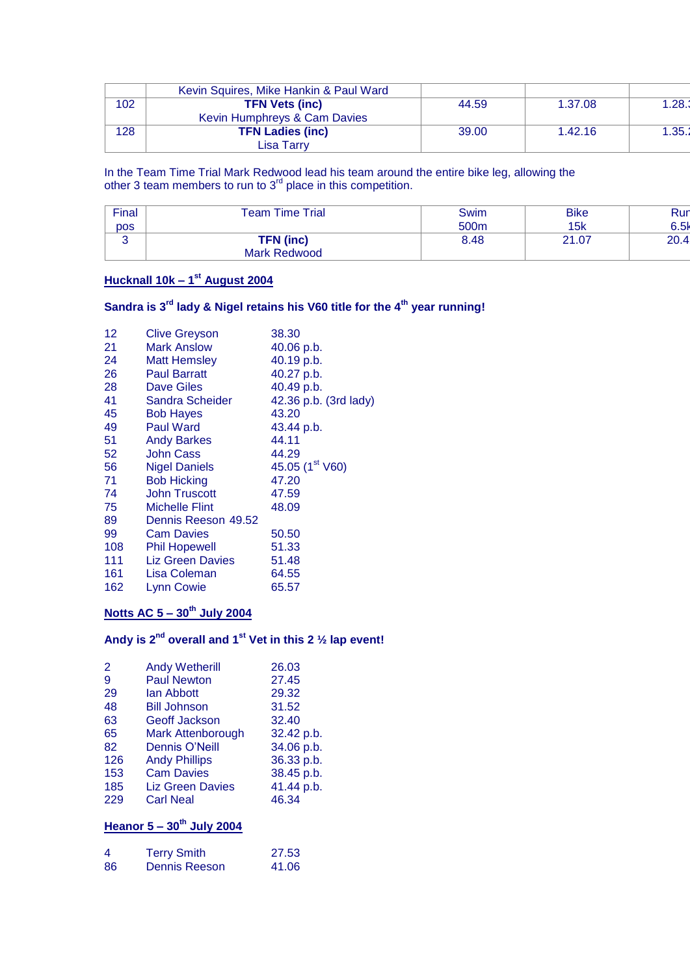|     | Kevin Squires, Mike Hankin & Paul Ward |       |         |        |
|-----|----------------------------------------|-------|---------|--------|
| 102 | <b>TFN Vets (inc)</b>                  | 44.59 | 1.37.08 | 1.28.1 |
|     | Kevin Humphreys & Cam Davies           |       |         |        |
| 128 | <b>TFN Ladies (inc)</b>                | 39.00 | 1.42.16 | .35.   |
|     | ∟isa Tarry                             |       |         |        |

In the Team Time Trial Mark Redwood lead his team around the entire bike leg, allowing the other 3 team members to run to  $3<sup>rd</sup>$  place in this competition.

| Final | <b>Time Trial</b><br>Team i | Swim | <b>Bike</b> | Rur  |
|-------|-----------------------------|------|-------------|------|
| pos   |                             | 500m | 15k         | 6.5k |
|       | <b>TFN</b> (inc)            | 8.48 | 21.07       | 20.4 |
|       | Mark Redwood                |      |             |      |

#### **Hucknall 10k – 1 st August 2004**

# **Sandra is 3rd lady & Nigel retains his V60 title for the 4th year running!**

| 12  | <b>Clive Greyson</b>  | 38.30                       |
|-----|-----------------------|-----------------------------|
| 21  | <b>Mark Anslow</b>    | 40.06 p.b.                  |
| 24  | Matt Hemsley          | 40.19 p.b.                  |
| 26  | <b>Paul Barratt</b>   | 40.27 p.b.                  |
| 28  | <b>Dave Giles</b>     | 40.49 p.b.                  |
| 41  | Sandra Scheider       | 42.36 p.b. (3rd lady)       |
| 45  | <b>Bob Hayes</b>      | 43.20                       |
| 49  | <b>Paul Ward</b>      | 43.44 p.b.                  |
| 51  | <b>Andy Barkes</b>    | 44.11                       |
| 52  | <b>John Cass</b>      | 44.29                       |
| 56  | <b>Nigel Daniels</b>  | 45.05 (1 <sup>st</sup> V60) |
| 71  | <b>Bob Hicking</b>    | 47.20                       |
| 74  | <b>John Truscott</b>  | 47.59                       |
| 75  | <b>Michelle Flint</b> | 48.09                       |
| 89  | Dennis Reeson 49.52   |                             |
| 99  | <b>Cam Davies</b>     | 50.50                       |
| 108 | <b>Phil Hopewell</b>  | 51.33                       |
| 111 | Liz Green Davies      | 51.48                       |
| 161 | Lisa Coleman          | 64.55                       |
| 162 | Lynn Cowie            | 65.57                       |
|     |                       |                             |

# **Notts AC 5 – 30th July 2004**

# **Andy is 2nd overall and 1st Vet in this 2 ½ lap event!**

| 2   | <b>Andy Wetherill</b>   | 26.03      |
|-----|-------------------------|------------|
| 9   | <b>Paul Newton</b>      | 27.45      |
| 29  | lan Abbott              | 29.32      |
| 48  | <b>Bill Johnson</b>     | 31.52      |
| 63  | Geoff Jackson           | 32.40      |
| 65  | Mark Attenborough       | 32.42 p.b. |
| 82  | <b>Dennis O'Neill</b>   | 34.06 p.b. |
| 126 | <b>Andy Phillips</b>    | 36.33 p.b. |
| 153 | <b>Cam Davies</b>       | 38.45 p.b. |
| 185 | <b>Liz Green Davies</b> | 41.44 p.b. |
| 229 | <b>Carl Neal</b>        | 46.34      |
|     |                         |            |

# **Heanor 5 – 30th July 2004**

| 4  | <b>Terry Smith</b>   | 27.53 |
|----|----------------------|-------|
| 86 | <b>Dennis Reeson</b> | 41.06 |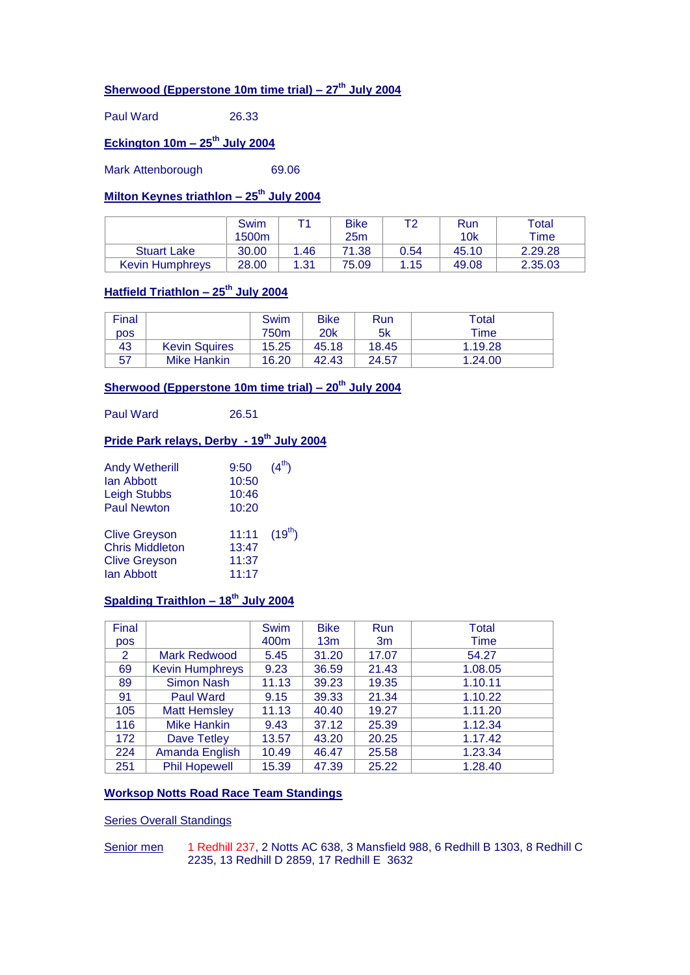# **Sherwood (Epperstone 10m time trial) – 27th July 2004**

Paul Ward 26.33

# **Eckington 10m – 25th July 2004**

Mark Attenborough 69.06

#### **Milton Keynes triathlon – 25th July 2004**

|                        | Swim<br>1500m |      | <b>Bike</b><br>25m | то   | Run<br>10k | Total<br>$\tau$ ime |
|------------------------|---------------|------|--------------------|------|------------|---------------------|
| <b>Stuart Lake</b>     | 30.00         | 1.46 | 71.38              | 0.54 | 45.10      | 2.29.28             |
| <b>Kevin Humphrevs</b> | 28.00         | 1.31 | 75.09              | 1.15 | 49.08      | 2.35.03             |

#### **Hatfield Triathlon – 25th July 2004**

| Final      |                      | Swim             | <b>Bike</b> | Run   | Total   |
|------------|----------------------|------------------|-------------|-------|---------|
| <b>DOS</b> |                      | 750 <sub>m</sub> | 20k         | 5k    | Time    |
| 43         | <b>Kevin Squires</b> | 15.25            | 45.18       | 18.45 | 1.19.28 |
| -57        | <b>Mike Hankin</b>   | 16.20            | 42.43       | 24.57 | 1.24.00 |

### **Sherwood (Epperstone 10m time trial) – 20th July 2004**

Paul Ward 26.51

#### **Pride Park relays, Derby - 19th July 2004**

| <b>Andy Wetherill</b><br>lan Abbott<br><b>Leigh Stubbs</b><br><b>Paul Newton</b>     | 9:50<br>10:50<br>10:46<br>10:20              | $(4^{th})$ |
|--------------------------------------------------------------------------------------|----------------------------------------------|------------|
| <b>Clive Greyson</b><br><b>Chris Middleton</b><br><b>Clive Greyson</b><br>lan Abbott | 11:11 $(19^{th})$<br>13:47<br>11:37<br>11:17 |            |

#### **Spalding Traithlon – 18th July 2004**

| Final      |                        | <b>Swim</b> | <b>Bike</b>     | <b>Run</b> | <b>Total</b> |
|------------|------------------------|-------------|-----------------|------------|--------------|
| <b>pos</b> |                        | 400m        | 13 <sub>m</sub> | 3m         | Time         |
| 2          | Mark Redwood           | 5.45        | 31.20           | 17.07      | 54.27        |
| 69         | <b>Kevin Humphreys</b> | 9.23        | 36.59           | 21.43      | 1.08.05      |
| 89         | <b>Simon Nash</b>      | 11.13       | 39.23           | 19.35      | 1.10.11      |
| 91         | <b>Paul Ward</b>       | 9.15        | 39.33           | 21.34      | 1.10.22      |
| 105        | <b>Matt Hemsley</b>    | 11.13       | 40.40           | 19.27      | 1.11.20      |
| 116        | <b>Mike Hankin</b>     | 9.43        | 37.12           | 25.39      | 1.12.34      |
| 172        | <b>Dave Tetley</b>     | 13.57       | 43.20           | 20.25      | 1.17.42      |
| 224        | Amanda English         | 10.49       | 46.47           | 25.58      | 1.23.34      |
| 251        | <b>Phil Hopewell</b>   | 15.39       | 47.39           | 25.22      | 1.28.40      |

#### **Worksop Notts Road Race Team Standings**

#### Series Overall Standings

Senior men 1 Redhill 237, 2 Notts AC 638, 3 Mansfield 988, 6 Redhill B 1303, 8 Redhill C 2235, 13 Redhill D 2859, 17 Redhill E 3632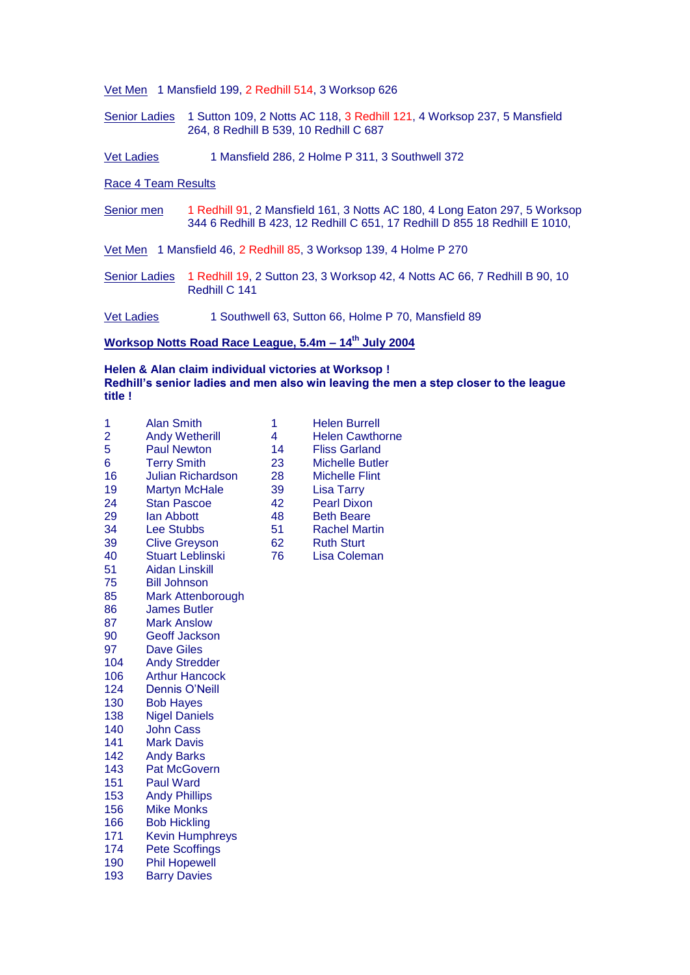Vet Men 1 Mansfield 199, 2 Redhill 514, 3 Worksop 626

- Senior Ladies 1 Sutton 109, 2 Notts AC 118, 3 Redhill 121, 4 Worksop 237, 5 Mansfield 264, 8 Redhill B 539, 10 Redhill C 687
- Vet Ladies 1 Mansfield 286, 2 Holme P 311, 3 Southwell 372

Race 4 Team Results

Senior men 1 Redhill 91, 2 Mansfield 161, 3 Notts AC 180, 4 Long Eaton 297, 5 Worksop 344 6 Redhill B 423, 12 Redhill C 651, 17 Redhill D 855 18 Redhill E 1010,

Vet Men 1 Mansfield 46, 2 Redhill 85, 3 Worksop 139, 4 Holme P 270

Senior Ladies 1 Redhill 19, 2 Sutton 23, 3 Worksop 42, 4 Notts AC 66, 7 Redhill B 90, 10 Redhill C 141

Vet Ladies 1 Southwell 63, Sutton 66, Holme P 70, Mansfield 89

#### **Worksop Notts Road Race League, 5.4m – 14th July 2004**

#### **Helen & Alan claim individual victories at Worksop ! Redhill's senior ladies and men also win leaving the men a step closer to the league title !**

| 1   | <b>Alan Smith</b>        | 1  | <b>Helen Burrell</b>   |
|-----|--------------------------|----|------------------------|
| 2   | <b>Andy Wetherill</b>    | 4  | <b>Helen Cawthorne</b> |
| 5   | <b>Paul Newton</b>       | 14 | <b>Fliss Garland</b>   |
| 6   | <b>Terry Smith</b>       | 23 | <b>Michelle Butler</b> |
| 16  | <b>Julian Richardson</b> | 28 | <b>Michelle Flint</b>  |
| 19  | <b>Martyn McHale</b>     | 39 | <b>Lisa Tarry</b>      |
| 24  | <b>Stan Pascoe</b>       | 42 | <b>Pearl Dixon</b>     |
| 29  | lan Abbott               | 48 | <b>Beth Beare</b>      |
| 34  | <b>Lee Stubbs</b>        | 51 | <b>Rachel Martin</b>   |
| 39  | <b>Clive Greyson</b>     | 62 | <b>Ruth Sturt</b>      |
| 40  | <b>Stuart Leblinski</b>  | 76 | <b>Lisa Coleman</b>    |
| 51  | <b>Aidan Linskill</b>    |    |                        |
| 75  | <b>Bill Johnson</b>      |    |                        |
| 85  | Mark Attenborough        |    |                        |
| 86  | <b>James Butler</b>      |    |                        |
| 87  | <b>Mark Anslow</b>       |    |                        |
| 90  | <b>Geoff Jackson</b>     |    |                        |
| 97  | <b>Dave Giles</b>        |    |                        |
| 104 | <b>Andy Stredder</b>     |    |                        |
| 106 | <b>Arthur Hancock</b>    |    |                        |
| 124 | <b>Dennis O'Neill</b>    |    |                        |
| 130 | <b>Bob Hayes</b>         |    |                        |
| 138 | <b>Nigel Daniels</b>     |    |                        |
| 140 | <b>John Cass</b>         |    |                        |
| 141 | <b>Mark Davis</b>        |    |                        |
| 142 | <b>Andy Barks</b>        |    |                        |
| 143 | <b>Pat McGovern</b>      |    |                        |
| 151 | <b>Paul Ward</b>         |    |                        |
| 153 | <b>Andy Phillips</b>     |    |                        |
| 156 | <b>Mike Monks</b>        |    |                        |
| 166 | <b>Bob Hickling</b>      |    |                        |
| 171 | <b>Kevin Humphreys</b>   |    |                        |
| 174 | <b>Pete Scoffings</b>    |    |                        |
| 190 | <b>Phil Hopewell</b>     |    |                        |
| 193 | <b>Barry Davies</b>      |    |                        |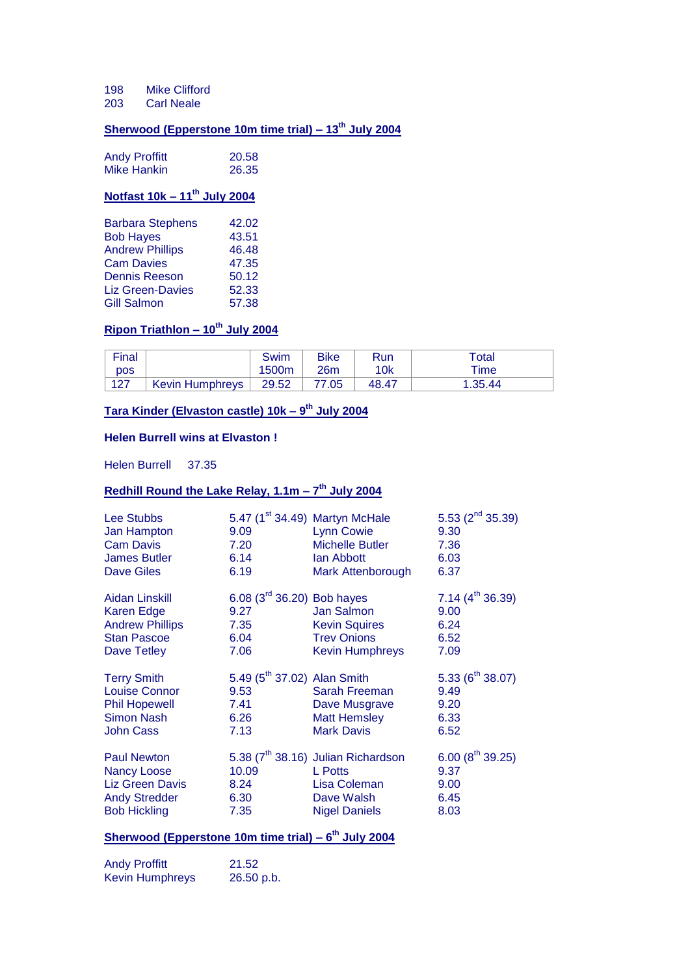198 Mike Clifford

203 Carl Neale

# **Sherwood (Epperstone 10m time trial) – 13th July 2004**

| <b>Andy Proffitt</b> | 20.58 |
|----------------------|-------|
| <b>Mike Hankin</b>   | 26.35 |

# **Notfast 10k – 11th July 2004**

| <b>Barbara Stephens</b> | 42.02 |
|-------------------------|-------|
| <b>Bob Hayes</b>        | 43.51 |
| <b>Andrew Phillips</b>  | 46.48 |
| <b>Cam Davies</b>       | 47.35 |
| <b>Dennis Reeson</b>    | 50.12 |
| <b>Liz Green-Davies</b> | 52.33 |
| Gill Salmon             | 57.38 |

### **Ripon Triathlon – 10th July 2004**

| Final      |                        | Swim  | <b>Bike</b> | <b>Run</b> | Total   |
|------------|------------------------|-------|-------------|------------|---------|
| <b>DOS</b> |                        | 1500m | 26m         | 10k        | ™e      |
| 127        | <b>Kevin Humphreys</b> | 29.52 | 77.05       | 48.47      | 1.35.44 |

#### **Tara Kinder (Elvaston castle) 10k – 9 th July 2004**

#### **Helen Burrell wins at Elvaston !**

Helen Burrell 37.35

#### **Redhill Round the Lake Relay, 1.1m – 7 th July 2004**

| Lee Stubbs<br>Jan Hampton<br><b>Cam Davis</b><br><b>James Butler</b><br><b>Dave Giles</b>                   | 9.09<br>7.20<br>6.14<br>6.19                                            | 5.47 (1 <sup>st</sup> 34.49) Martyn McHale<br><b>Lynn Cowie</b><br><b>Michelle Butler</b><br>lan Abbott<br><b>Mark Attenborough</b> | 5.53 $(2^{nd} 35.39)$<br>9.30<br>7.36<br>6.03<br>6.37  |
|-------------------------------------------------------------------------------------------------------------|-------------------------------------------------------------------------|-------------------------------------------------------------------------------------------------------------------------------------|--------------------------------------------------------|
| Aidan Linskill<br>Karen Edge<br><b>Andrew Phillips</b><br><b>Stan Pascoe</b><br>Dave Tetley                 | 6.08 $(3^{rd} 36.20)$ Bob hayes<br>9.27<br>7.35<br>6.04<br>7.06         | Jan Salmon<br><b>Kevin Squires</b><br><b>Trev Onions</b><br><b>Kevin Humphreys</b>                                                  | 7.14 $(4^{th} 36.39)$<br>9.00<br>6.24<br>6.52<br>7.09  |
| <b>Terry Smith</b><br><b>Louise Connor</b><br><b>Phil Hopewell</b><br><b>Simon Nash</b><br><b>John Cass</b> | 5.49 (5 <sup>th</sup> 37.02) Alan Smith<br>9.53<br>7.41<br>6.26<br>7.13 | Sarah Freeman<br>Dave Musgrave<br><b>Matt Hemsley</b><br><b>Mark Davis</b>                                                          | 5.33 ( $6^{th}$ 38.07)<br>9.49<br>9.20<br>6.33<br>6.52 |
| <b>Paul Newton</b><br><b>Nancy Loose</b><br>Liz Green Davis<br><b>Andy Stredder</b><br><b>Bob Hickling</b>  | 10.09<br>8.24<br>6.30<br>7.35                                           | 5.38 (7 <sup>th</sup> 38.16) Julian Richardson<br><b>L</b> Potts<br>Lisa Coleman<br>Dave Walsh<br><b>Nigel Daniels</b>              | 6.00 $(8^{th} 39.25)$<br>9.37<br>9.00<br>6.45<br>8.03  |

#### **Sherwood (Epperstone 10m time trial) – 6 th July 2004**

Andy Proffitt 21.52 Kevin Humphreys 26.50 p.b.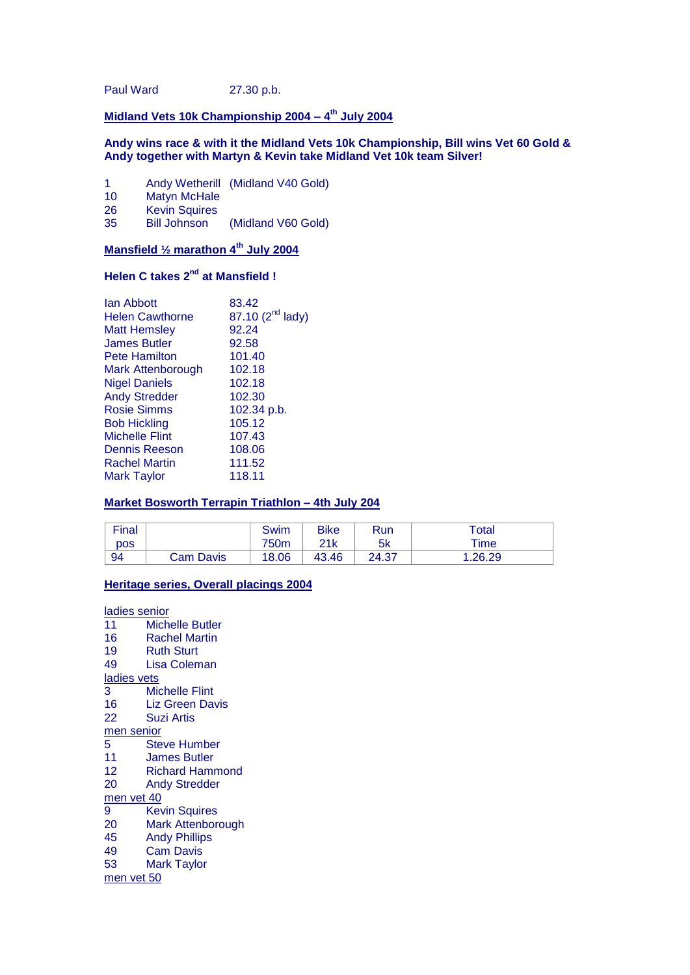Paul Ward 27.30 p.b.

#### **Midland Vets 10k Championship 2004 – 4 th July 2004**

#### **Andy wins race & with it the Midland Vets 10k Championship, Bill wins Vet 60 Gold & Andy together with Martyn & Kevin take Midland Vet 10k team Silver!**

- 1 Andy Wetherill (Midland V40 Gold)<br>10 Matyn McHale
- 10 Matyn McHale<br>26 Kevin Squires
- Kevin Squires<br>Bill Johnson

35 Bill Johnson (Midland V60 Gold)

#### **Mansfield ½ marathon 4th July 2004**

# **Helen C takes 2nd at Mansfield !**

| lan Abbott             | 83.42                        |
|------------------------|------------------------------|
| <b>Helen Cawthorne</b> | 87.10 (2 <sup>nd</sup> lady) |
| <b>Matt Hemsley</b>    | 92.24                        |
| <b>James Butler</b>    | 92.58                        |
| <b>Pete Hamilton</b>   | 101.40                       |
| Mark Attenborough      | 102.18                       |
| <b>Nigel Daniels</b>   | 102.18                       |
| <b>Andy Stredder</b>   | 102.30                       |
| <b>Rosie Simms</b>     | 102.34 p.b.                  |
| <b>Bob Hickling</b>    | 105.12                       |
| <b>Michelle Flint</b>  | 107.43                       |
| Dennis Reeson          | 108.06                       |
| <b>Rachel Martin</b>   | 111.52                       |
| Mark Taylor            | 118.11                       |
|                        |                              |

#### **Market Bosworth Terrapin Triathlon – 4th July 204**

| Final |           | Swim  | Bike  | Run   | $\tau$ otal     |
|-------|-----------|-------|-------|-------|-----------------|
| DOS   |           | 750m  | 21k   | 5k    | $\mathsf{Time}$ |
| 94    | Cam Davis | 18.06 | 43.46 | 24.37 | .26.29          |

#### **Heritage series, Overall placings 2004**

ladies senior

- 11 Michelle Butler
- 16 Rachel Martin
- 19 Ruth Sturt<br>49 Lisa Colem
- Lisa Coleman
- ladies vets
- 3 Michelle Flint
- 16 Liz Green Davis<br>22 Suzi Artis Suzi Artis
- 

#### men senior

- 5 Steve Humber
- 11 James Butler
- 12 Richard Hammond<br>20 Andy Stredder
- **Andy Stredder**
- men vet 40
- 9 Kevin Squires<br>20 Mark Attenbor
- Mark Attenborough
- 45 Andy Phillips
- 49 Cam Davis
- 53 Mark Taylor
- men vet 50